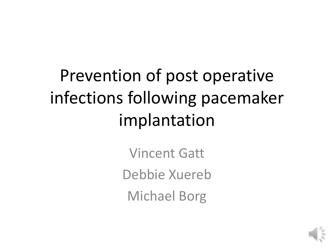# Prevention of post operative infections following pacemaker implantation

Vincent Gatt Debbie Xuereb Michael Borg

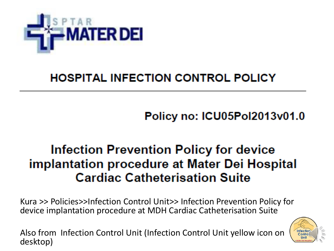

### **HOSPITAL INFECTION CONTROL POLICY**

**Policy no: ICU05Pol2013v01.0** 

## **Infection Prevention Policy for device implantation procedure at Mater Dei Hospital Cardiac Catheterisation Suite**

Kura >> Policies>>Infection Control Unit>> Infection Prevention Policy for device implantation procedure at MDH Cardiac Catheterisation Suite

Also from Infection Control Unit (Infection Control Unit yellow icon on desktop)

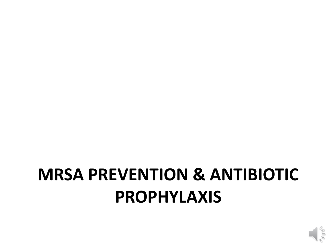

## **MRSA PREVENTION & ANTIBIOTIC PROPHYLAXIS**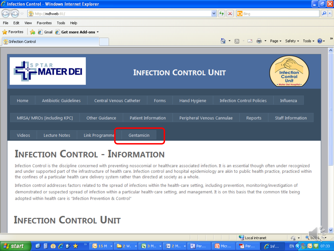

Infection Control is the discipline concerned with preventing nosocomial or healthcare associated infection. It is an essential though often under recognized and under supported part of the infrastructure of health care. Infection control and hospital epidemiology are akin to public health practice, practiced within the confines of a particular health care delivery system rather than directed at society as a whole.

Local intranet

 $\mathcal{L}$  Inf...

Per...

 $\sqrt{a}$   $\sim$   $\sqrt{a}$  Tb3%

07:33

EN <

Infection control addresses factors related to the spread of infections within the health-care setting, including prevention, monitoring/investigation of demonstrated or suspected spread of infection within a particular health-care setting, and management. It is on this basis that the common title being adopted within health care is "Infection Prevention & Control"

图 3 M., -

**图** 2 M., -

**B** Per...

**G** Micr...

### **INFECTION CONTROL UNIT**

 $66$  P  $x$ 

GF

 $615M$   $\star$ 

 $\mathbf{m}$  2 W.  $\rightarrow$ 

**A** start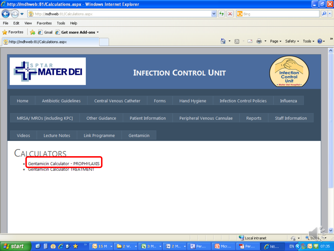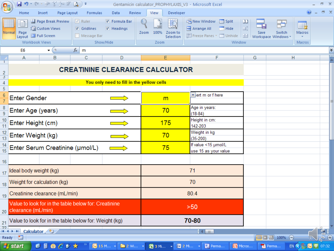| (SB                                                      |                                                                                                                                                                                        | ◪♥▾ᅊ <sub>▘</sub> ᢟᄬ╬ <sub>▘</sub> ᢟ <u></u> ◙ )▾<br>Gentamicin calculator_PROPHYLAXIS_V3 - Microsoft Excel |                    |                                                       |                                                               |      |                                      |                                                                                          |                               |                           |             |                        | σ    | <b>x</b> |
|----------------------------------------------------------|----------------------------------------------------------------------------------------------------------------------------------------------------------------------------------------|-------------------------------------------------------------------------------------------------------------|--------------------|-------------------------------------------------------|---------------------------------------------------------------|------|--------------------------------------|------------------------------------------------------------------------------------------|-------------------------------|---------------------------|-------------|------------------------|------|----------|
|                                                          | Home                                                                                                                                                                                   | Insert                                                                                                      | Page Layout        | Formulas                                              | Review<br>Data                                                |      | View<br>Developer                    |                                                                                          |                               |                           |             |                        |      | a x      |
|                                                          | Normal Page<br>Layout                                                                                                                                                                  | Iii Custom Views<br>Full Screen<br>Workbook Views                                                           | Page Break Preview | $V$ Ruler<br>$\triangledown$ Gridlines<br>Message Bar | <b>V</b> Formula Bar<br>$\triangledown$ Headings<br>Show/Hide | Zoom | 100%<br>Zoom to<br>Selection<br>Zoom | New Window - Split<br>Arrange All <b>Arrange All</b><br>El Freeze Panes v al Unhide   33 | $\mathbf{D}$<br>iat<br>Window | Save<br>Workspace Windows | Ħ<br>Switch | e,<br>Macros<br>Macros |      |          |
|                                                          | E <sub>6</sub>                                                                                                                                                                         |                                                                                                             | $-$ (a)            | $f_x$<br>$\mathsf{m}$                                 |                                                               |      |                                      |                                                                                          |                               |                           |             |                        |      |          |
|                                                          | A                                                                                                                                                                                      |                                                                                                             | в                  | С                                                     | D                                                             |      | Е                                    | F                                                                                        |                               | G                         | Н           |                        |      |          |
| 2<br>3                                                   |                                                                                                                                                                                        | <b>CREATININE CLEARANCE CALCULATOR</b>                                                                      |                    |                                                       |                                                               |      |                                      |                                                                                          |                               |                           |             |                        |      |          |
| $\overline{4}$                                           |                                                                                                                                                                                        |                                                                                                             |                    |                                                       | You only need to fill in the yellow cells                     |      |                                      |                                                                                          |                               |                           |             |                        |      |          |
| 5<br>$\frac{6}{7}$                                       | <b>Enter Gender</b>                                                                                                                                                                    |                                                                                                             |                    |                                                       |                                                               |      | m                                    | viert m or f here                                                                        |                               |                           |             |                        |      |          |
| $\frac{8}{9}$                                            | Enter Age (years)                                                                                                                                                                      |                                                                                                             |                    |                                                       |                                                               |      | 70                                   | Age in years:<br>$(18-84)$                                                               |                               |                           |             |                        |      |          |
| 10<br>11                                                 | Enter Height (cm)                                                                                                                                                                      |                                                                                                             |                    |                                                       |                                                               |      | 175                                  | Height in cm:<br>142-203                                                                 |                               |                           |             |                        |      |          |
| 12<br>$\overline{13}$                                    | Enter Weight (kg)                                                                                                                                                                      |                                                                                                             |                    |                                                       |                                                               |      | 70                                   | Weight in kg<br>$(35-200)$                                                               |                               |                           |             |                        |      |          |
| 14<br>15                                                 |                                                                                                                                                                                        |                                                                                                             |                    | Enter Serum Creatinine (µmol/L)                       |                                                               |      | 75                                   | If value <15 µmol/L<br>use 15 as your value                                              |                               |                           |             |                        |      |          |
| 16                                                       |                                                                                                                                                                                        |                                                                                                             |                    |                                                       |                                                               |      |                                      |                                                                                          |                               |                           |             |                        |      |          |
| 17                                                       | Ideal body weight (kg)                                                                                                                                                                 |                                                                                                             |                    |                                                       |                                                               |      | 71                                   |                                                                                          |                               |                           |             |                        |      |          |
|                                                          | 18 Weight for calculation (kg)                                                                                                                                                         |                                                                                                             |                    |                                                       |                                                               |      | 70                                   |                                                                                          |                               |                           |             |                        |      |          |
|                                                          | 19 Creatinine clearance (mL/min)                                                                                                                                                       |                                                                                                             |                    |                                                       |                                                               |      | 80.4                                 |                                                                                          |                               |                           |             |                        |      |          |
|                                                          | Value to look for in the table below for: Creatinine<br>20 clearance (mL/min)                                                                                                          |                                                                                                             |                    |                                                       |                                                               |      | >50                                  |                                                                                          |                               |                           |             |                        |      |          |
|                                                          | $_{21}$ Value to look for in the table below for: Weight (kg)                                                                                                                          |                                                                                                             |                    |                                                       |                                                               |      | 70-80                                |                                                                                          |                               |                           |             |                        |      |          |
| $\frac{22}{14}$ + + + Calculator<br><b>Kill</b><br>Ready |                                                                                                                                                                                        |                                                                                                             |                    |                                                       |                                                               |      | $14$ $m$                             |                                                                                          |                               |                           | $\Theta$    | ∪                      | ट्टा |          |
|                                                          | Ⅲ Ⅲ 100%<br>EN 3 3 5 5 07:32<br>Perma<br><b>H</b> start<br>$C$ $C$ $C$ $V$ $X$<br>$\bullet$ 15 M $\rightarrow$<br>■2 Wi →<br>图 3 Mi -<br>图 2 Mi →<br><b>C</b> Micros<br><b>國</b> Perma |                                                                                                             |                    |                                                       |                                                               |      |                                      |                                                                                          |                               |                           |             |                        |      |          |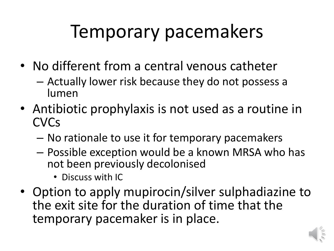# Temporary pacemakers

- No different from a central venous catheter
	- Actually lower risk because they do not possess a lumen
- Antibiotic prophylaxis is not used as a routine in **CVC<sub>S</sub>** 
	- No rationale to use it for temporary pacemakers
	- Possible exception would be a known MRSA who has not been previously decolonised
		- Discuss with IC
- Option to apply mupirocin/silver sulphadiazine to the exit site for the duration of time that the temporary pacemaker is in place.

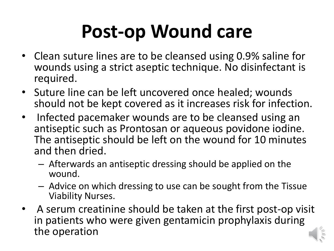# **Post-op Wound care**

- Clean suture lines are to be cleansed using 0.9% saline for wounds using a strict aseptic technique. No disinfectant is required.
- Suture line can be left uncovered once healed; wounds should not be kept covered as it increases risk for infection.
- Infected pacemaker wounds are to be cleansed using an antiseptic such as Prontosan or aqueous povidone iodine. The antiseptic should be left on the wound for 10 minutes and then dried.
	- Afterwards an antiseptic dressing should be applied on the wound.
	- Advice on which dressing to use can be sought from the Tissue Viability Nurses.
- A serum creatinine should be taken at the first post-op visit in patients who were given gentamicin prophylaxis during the operation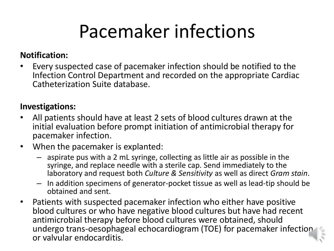# Pacemaker infections

### **Notification:**

• Every suspected case of pacemaker infection should be notified to the Infection Control Department and recorded on the appropriate Cardiac Catheterization Suite database.

#### **Investigations:**

- All patients should have at least 2 sets of blood cultures drawn at the initial evaluation before prompt initiation of antimicrobial therapy for pacemaker infection.
- When the pacemaker is explanted:
	- aspirate pus with a 2 mL syringe, collecting as little air as possible in the syringe, and replace needle with a sterile cap. Send immediately to the laboratory and request both *Culture & Sensitivity* as well as direct *Gram stain*.
	- In addition specimens of generator-pocket tissue as well as lead-tip should be obtained and sent.
- Patients with suspected pacemaker infection who either have positive blood cultures or who have negative blood cultures but have had recent antimicrobial therapy before blood cultures were obtained, should undergo trans-oesophageal echocardiogram (TOE) for pacemaker infection or valvular endocarditis.